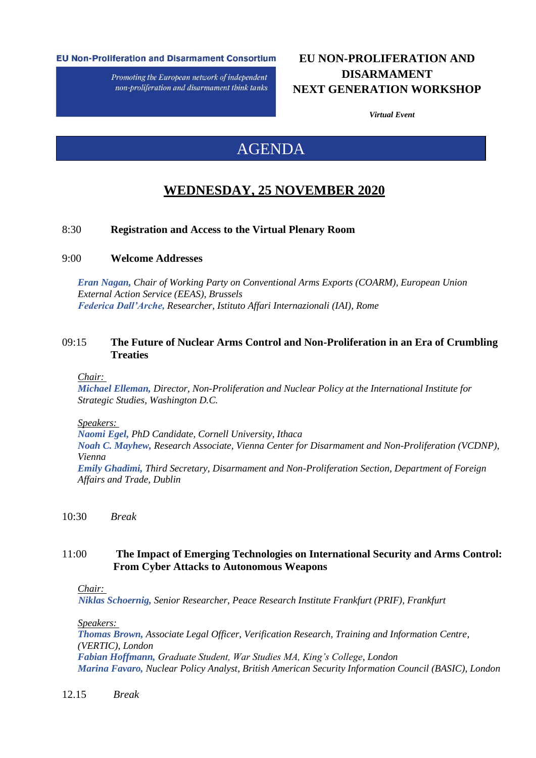#### **EU Non-Proliferation and Disarmament Consortium**

Promoting the European network of independent non-proliferation and disarmament think tanks

## **EU NON-PROLIFERATION AND DISARMAMENT NEXT GENERATION WORKSHOP**

*Virtual Event*

# AGENDA

## **WEDNESDAY, 25 NOVEMBER 2020**

## 8:30 **Registration and Access to the Virtual Plenary Room**

#### 9:00 **Welcome Addresses**

*Eran Nagan, Chair of Working Party on Conventional Arms Exports (COARM), European Union External Action Service (EEAS), Brussels Federica Dall'Arche, Researcher, Istituto Affari Internazionali (IAI), Rome*

## 09:15 **The Future of Nuclear Arms Control and Non-Proliferation in an Era of Crumbling Treaties**

*Chair:* 

*Michael Elleman, Director, Non-Proliferation and Nuclear Policy at the International Institute for Strategic Studies, Washington D.C.*

*Speakers:* 

*Naomi Egel, PhD Candidate, Cornell University, Ithaca Noah C. Mayhew, Research Associate, Vienna Center for Disarmament and Non-Proliferation (VCDNP), Vienna Emily Ghadimi, Third Secretary, Disarmament and Non-Proliferation Section, Department of Foreign Affairs and Trade, Dublin*

10:30 *Break*

## 11:00 **The Impact of Emerging Technologies on International Security and Arms Control: From Cyber Attacks to Autonomous Weapons**

#### *Chair:*

*Niklas Schoernig, Senior Researcher, Peace Research Institute Frankfurt (PRIF), Frankfurt*

*Speakers:* 

*Thomas Brown, Associate Legal Officer, Verification Research, Training and Information Centre, (VERTIC), London Fabian Hoffmann, Graduate Student, War Studies MA, King's College, London Marina Favaro, Nuclear Policy Analyst, British American Security Information Council (BASIC), London*

12.15 *Break*